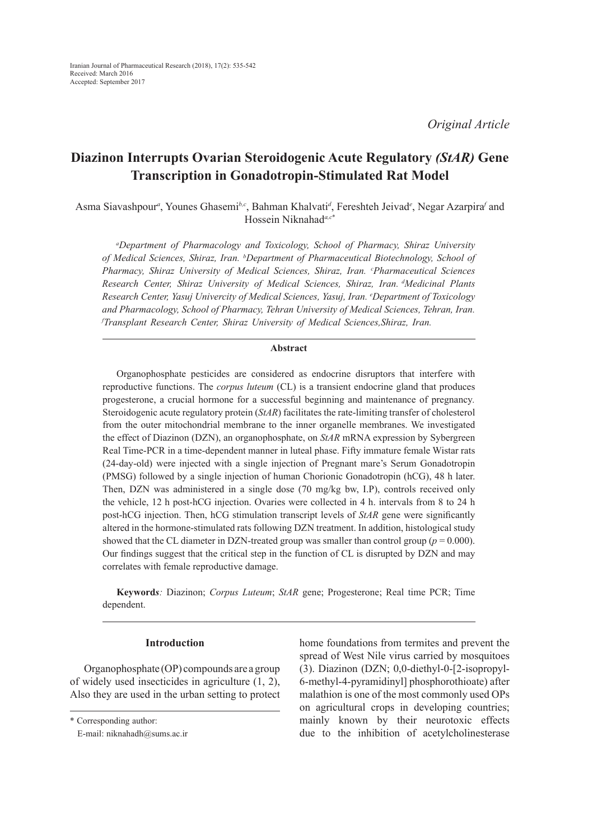*Original Article*

# **Diazinon Interrupts Ovarian Steroidogenic Acute Regulatory** *(StAR)* **Gene Transcription in Gonadotropin-Stimulated Rat Model**

Asma Siavashpour*<sup>a</sup>* , Younes Ghasemi*b,c*, Bahman Khalvati*<sup>d</sup>* , Fereshteh Jeivad*<sup>e</sup>* , Negar Azarpira*<sup>f</sup>* and Hossein Niknahad*a,c*\*

*a Department of Pharmacology and Toxicology, School of Pharmacy, Shiraz University of Medical Sciences, Shiraz, Iran. b Department of Pharmaceutical Biotechnology, School of Pharmacy, Shiraz University of Medical Sciences, Shiraz, Iran. c Pharmaceutical Sciences Research Center, Shiraz University of Medical Sciences, Shiraz, Iran. dMedicinal Plants Research Center, Yasuj Univercity of Medical Sciences, Yasuj, Iran. e Department of Toxicology*  and Pharmacology, School of Pharmacy, Tehran University of Medical Sciences, Tehran, Iran. *f Transplant Research Center, Shiraz University of Medical Sciences,Shiraz, Iran.*

# **Abstract**

Organophosphate pesticides are considered as endocrine disruptors that interfere with reproductive functions. The *corpus luteum* (CL) is a transient endocrine gland that produces progesterone, a crucial hormone for a successful beginning and maintenance of pregnancy*.* Steroidogenic acute regulatory protein (*StAR*) facilitates the rate-limiting transfer of cholesterol from the outer mitochondrial membrane to the inner organelle membranes. We investigated the effect of Diazinon (DZN), an organophosphate, on *StAR* mRNA expression by Sybergreen Real Time-PCR in a time-dependent manner in luteal phase. Fifty immature female Wistar rats (24-day-old) were injected with a single injection of Pregnant mare's Serum Gonadotropin (PMSG) followed by a single injection of human Chorionic Gonadotropin (hCG), 48 h later. Then, DZN was administered in a single dose (70 mg/kg bw, I.P), controls received only the vehicle, 12 h post-hCG injection. Ovaries were collected in 4 h. intervals from 8 to 24 h post-hCG injection. Then, hCG stimulation transcript levels of *StAR* gene were significantly altered in the hormone-stimulated rats following DZN treatment. In addition, histological study showed that the CL diameter in DZN-treated group was smaller than control group  $(p = 0.000)$ . Our findings suggest that the critical step in the function of CL is disrupted by DZN and may correlates with female reproductive damage.

**Keyword***s:* Diazinon; *Corpus Luteum*; *StAR* gene; Progesterone; Real time PCR; Time dependent.

# **Introduction**

Organophosphate (OP) compounds are a group of widely used insecticides in agriculture (1, 2), Also they are used in the urban setting to protect home foundations from termites and prevent the spread of West Nile virus carried by mosquitoes (3). Diazinon (DZN; 0,0-diethyl-0-[2-isopropyl-6-methyl-4-pyramidinyl] phosphorothioate) after malathion is one of the most commonly used OPs on agricultural crops in developing countries; mainly known by their neurotoxic effects due to the inhibition of acetylcholinesterase

<sup>\*</sup> Corresponding author:

E-mail: niknahadh@sums.ac.ir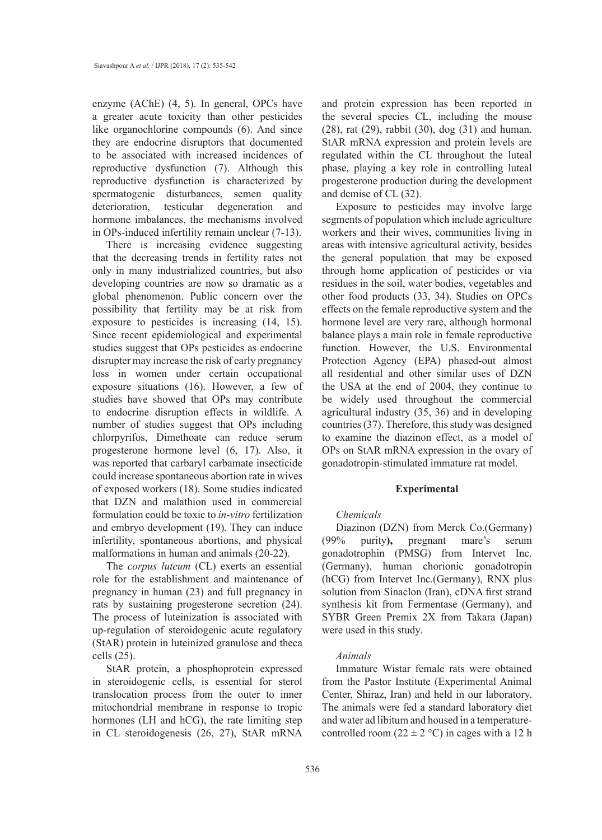enzyme (AChE) (4, 5). In general, OPCs have a greater acute toxicity than other pesticides like organochlorine compounds (6). And since they are endocrine disruptors that documented to be associated with increased incidences of reproductive dysfunction (7). Although this reproductive dysfunction is characterized by spermatogenic disturbances, semen quality deterioration, testicular degeneration and hormone imbalances, the mechanisms involved in OPs-induced infertility remain unclear (7-13).

There is increasing evidence suggesting that the decreasing trends in fertility rates not only in many industrialized countries, but also developing countries are now so dramatic as a global phenomenon. Public concern over the possibility that fertility may be at risk from exposure to pesticides is increasing (14, 15). Since recent epidemiological and experimental studies suggest that OPs pesticides as endocrine disrupter may increase the risk of early pregnancy loss in women under certain occupational exposure situations (16). However, a few of studies have showed that OPs may contribute to endocrine disruption effects in wildlife. A number of studies suggest that OPs including chlorpyrifos, Dimethoate can reduce serum progesterone hormone level (6, 17). Also, it was reported that carbaryl carbamate insecticide could increase spontaneous abortion rate in wives of exposed workers (18). Some studies indicated that DZN and malathion used in commercial formulation could be toxic to *in-vitro* fertilization and embryo development (19). They can induce infertility, spontaneous abortions, and physical malformations in human and animals (20-22).

The *corpus luteum* (CL) exerts an essential role for the establishment and maintenance of pregnancy in human (23) and full pregnancy in rats by sustaining progesterone secretion (24). The process of luteinization is associated with up-regulation of steroidogenic acute regulatory (StAR) protein in luteinized granulose and theca cells (25).

StAR protein, a phosphoprotein expressed in steroidogenic cells, is essential for sterol translocation process from the outer to inner mitochondrial membrane in response to tropic hormones (LH and hCG), the rate limiting step in CL steroidogenesis (26, 27), StAR mRNA

and protein expression has been reported in the several species CL, including the mouse (28), rat (29), rabbit (30), dog (31) and human. StAR mRNA expression and protein levels are regulated within the CL throughout the luteal phase, playing a key role in controlling luteal progesterone production during the development and demise of CL (32).

Exposure to pesticides may involve large segments of population which include agriculture workers and their wives, communities living in areas with intensive agricultural activity, besides the general population that may be exposed through home application of pesticides or via residues in the soil, water bodies, vegetables and other food products (33, 34). Studies on OPCs effects on the female reproductive system and the hormone level are very rare, although hormonal balance plays a main role in female reproductive function. However, the U.S. Environmental Protection Agency (EPA) phased-out almost all residential and other similar uses of DZN the USA at the end of 2004, they continue to be widely used throughout the commercial agricultural industry (35, 36) and in developing countries (37). Therefore, this study was designed to examine the diazinon effect, as a model of OPs on StAR mRNA expression in the ovary of gonadotropin-stimulated immature rat model.

# **Experimental**

#### *Chemicals*

Diazinon (DZN) from Merck Co.(Germany) (99% purity**),** pregnant mare's serum gonadotrophin (PMSG) from Intervet Inc. (Germany), human chorionic gonadotropin (hCG) from Intervet Inc.(Germany), RNX plus solution from Sinaclon (Iran), cDNA first strand synthesis kit from Fermentase (Germany), and SYBR Green Premix 2X from Takara (Japan) were used in this study.

## *Animals*

Immature Wistar female rats were obtained from the Pastor Institute (Experimental Animal Center, Shiraz, Iran) and held in our laboratory. The animals were fed a standard laboratory diet and water ad libitum and housed in a temperaturecontrolled room (22  $\pm$  2 °C) in cages with a 12 h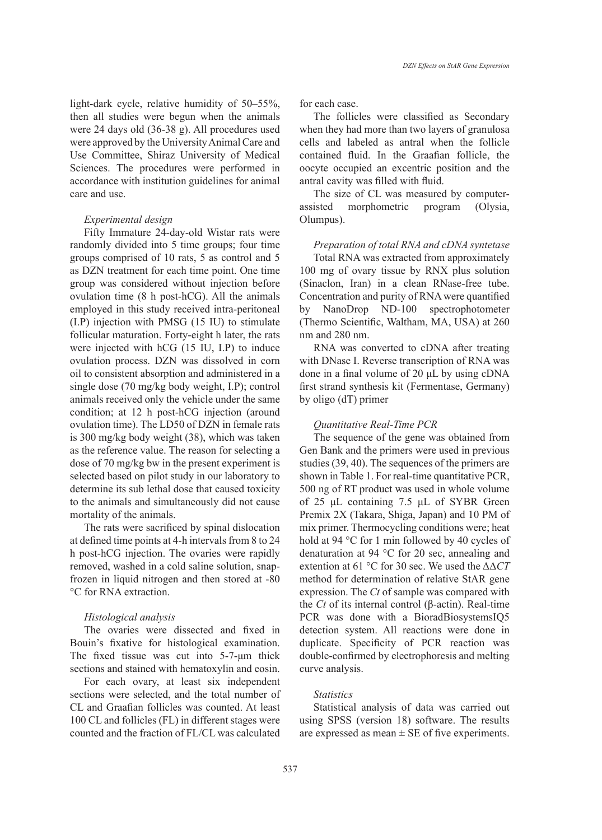light-dark cycle, relative humidity of 50–55%, then all studies were begun when the animals were 24 days old (36-38 g). All procedures used were approved by the University Animal Care and Use Committee, Shiraz University of Medical Sciences. The procedures were performed in accordance with institution guidelines for animal care and use.

## *Experimental design*

Fifty Immature 24-day-old Wistar rats were randomly divided into 5 time groups; four time groups comprised of 10 rats, 5 as control and 5 as DZN treatment for each time point. One time group was considered without injection before ovulation time (8 h post-hCG). All the animals employed in this study received intra-peritoneal (I.P) injection with PMSG (15 IU) to stimulate follicular maturation. Forty-eight h later, the rats were injected with hCG (15 IU, I.P) to induce ovulation process. DZN was dissolved in corn oil to consistent absorption and administered in a single dose (70 mg/kg body weight, I.P); control animals received only the vehicle under the same condition; at 12 h post-hCG injection (around ovulation time). The LD50 of DZN in female rats is 300 mg/kg body weight (38), which was taken as the reference value. The reason for selecting a dose of 70 mg/kg bw in the present experiment is selected based on pilot study in our laboratory to determine its sub lethal dose that caused toxicity to the animals and simultaneously did not cause mortality of the animals.

The rats were sacrificed by spinal dislocation at defined time points at 4-h intervals from 8 to 24 h post-hCG injection. The ovaries were rapidly removed, washed in a cold saline solution, snapfrozen in liquid nitrogen and then stored at -80 °C for RNA extraction.

# *Histological analysis*

The ovaries were dissected and fixed in Bouin's fixative for histological examination. The fixed tissue was cut into 5-7-μm thick sections and stained with hematoxylin and eosin.

For each ovary, at least six independent sections were selected, and the total number of CL and Graafian follicles was counted. At least 100 CL and follicles (FL) in different stages were counted and the fraction of FL/CL was calculated for each case.

The follicles were classified as Secondary when they had more than two layers of granulosa cells and labeled as antral when the follicle contained fluid. In the Graafian follicle, the oocyte occupied an excentric position and the antral cavity was filled with fluid.

The size of CL was measured by computerassisted morphometric program (Olysia, Olumpus).

*Preparation of total RNA and cDNA syntetase* Total RNA was extracted from approximately 100 mg of ovary tissue by RNX plus solution (Sinaclon, Iran) in a clean RNase-free tube. Concentration and purity of RNA were quantified by NanoDrop ND-100 spectrophotometer (Thermo Scientific, Waltham, MA, USA) at 260 nm and 280 nm.

RNA was converted to cDNA after treating with DNase I. Reverse transcription of RNA was done in a final volume of 20 μL by using cDNA first strand synthesis kit (Fermentase, Germany) by oligo (dT) primer

#### *Quantitative Real-Time PCR*

The sequence of the gene was obtained from Gen Bank and the primers were used in previous studies (39, 40). The sequences of the primers are shown in Table 1. For real-time quantitative PCR, 500 ng of RT product was used in whole volume of 25 μL containing 7.5 μL of SYBR Green Premix 2X (Takara, Shiga, Japan) and 10 PM of mix primer. Thermocycling conditions were; heat hold at 94 °C for 1 min followed by 40 cycles of denaturation at 94 °C for 20 sec, annealing and extention at 61 °C for 30 sec. We used the ΔΔ*CT*  method for determination of relative StAR gene expression. The *Ct* of sample was compared with the *Ct* of its internal control (β-actin). Real-time PCR was done with a BioradBiosystemsIQ5 detection system. All reactions were done in duplicate. Specificity of PCR reaction was double-confirmed by electrophoresis and melting curve analysis.

# *Statistics*

Statistical analysis of data was carried out using SPSS (version 18) software. The results are expressed as mean  $\pm$  SE of five experiments.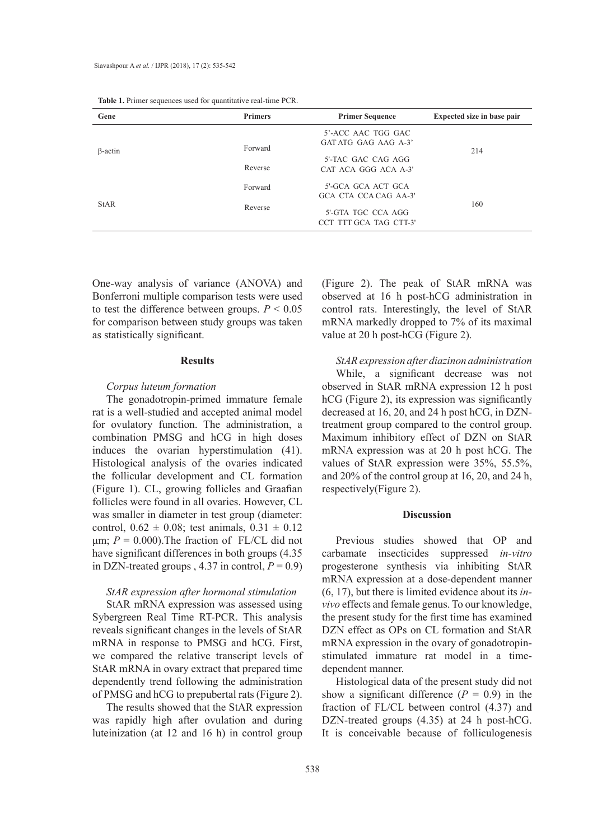| Gene           | <b>Primers</b>     | <b>Primer Sequence</b>                                                                      | Expected size in base pair |
|----------------|--------------------|---------------------------------------------------------------------------------------------|----------------------------|
| $\beta$ -actin | Forward<br>Reverse | 5'-ACC AAC TGG GAC<br>GAT ATG GAG AAG A-3'<br>5'-TAC GAC CAG AGG<br>CAT ACA GGG ACA A-3'    | 214                        |
| <b>StAR</b>    | Forward<br>Reverse | 5'-GCA GCA ACT GCA<br>GCA CTA CCA CAG AA-3'<br>5'-GTA TGC CCA AGG<br>CCT TTT GCA TAG CTT-3' | 160                        |

**Table 1.** Primer sequences used for quantitative real-time PCR.

One-way analysis of variance (ANOVA) and Bonferroni multiple comparison tests were used to test the difference between groups.  $P \leq 0.05$ for comparison between study groups was taken as statistically significant.

## **Results**

## *Corpus luteum formation*

The gonadotropin-primed immature female rat is a well-studied and accepted animal model for ovulatory function. The administration, a combination PMSG and hCG in high doses induces the ovarian hyperstimulation (41). Histological analysis of the ovaries indicated the follicular development and CL formation (Figure 1). CL, growing follicles and Graafian follicles were found in all ovaries. However, CL was smaller in diameter in test group (diameter: control,  $0.62 \pm 0.08$ ; test animals,  $0.31 \pm 0.12$ μm;  $P = 0.000$ ). The fraction of FL/CL did not have significant differences in both groups (4.35 in DZN-treated groups , 4.37 in control,  $P = 0.9$ )

# *StAR expression after hormonal stimulation*

StAR mRNA expression was assessed using Sybergreen Real Time RT-PCR. This analysis reveals significant changes in the levels of StAR mRNA in response to PMSG and hCG. First, we compared the relative transcript levels of StAR mRNA in ovary extract that prepared time dependently trend following the administration of PMSG and hCG to prepubertal rats (Figure 2).

The results showed that the StAR expression was rapidly high after ovulation and during luteinization (at 12 and 16 h) in control group (Figure 2). The peak of StAR mRNA was observed at 16 h post-hCG administration in control rats. Interestingly, the level of StAR mRNA markedly dropped to 7% of its maximal value at 20 h post-hCG (Figure 2).

*StAR expression after diazinon administration*

While, a significant decrease was not observed in StAR mRNA expression 12 h post hCG (Figure 2), its expression was significantly decreased at 16, 20, and 24 h post hCG, in DZNtreatment group compared to the control group. Maximum inhibitory effect of DZN on StAR mRNA expression was at 20 h post hCG. The values of StAR expression were 35%, 55.5%, and 20% of the control group at 16, 20, and 24 h, respectively(Figure 2).

## **Discussion**

Previous studies showed that OP and carbamate insecticides suppressed *in-vitro* progesterone synthesis via inhibiting StAR mRNA expression at a dose-dependent manner (6, 17), but there is limited evidence about its *invivo* effects and female genus. To our knowledge, the present study for the first time has examined DZN effect as OPs on CL formation and StAR mRNA expression in the ovary of gonadotropinstimulated immature rat model in a timedependent manner.

Histological data of the present study did not show a significant difference  $(P = 0.9)$  in the fraction of FL/CL between control (4.37) and DZN-treated groups (4.35) at 24 h post-hCG. It is conceivable because of folliculogenesis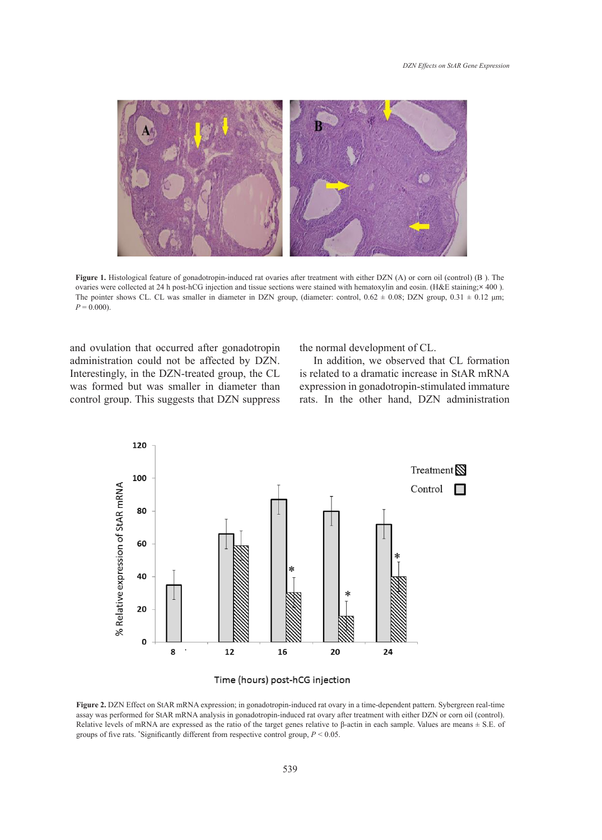

Figure 1. Histological feature of gonadotropin-induced rat ovaries after treatment with either DZN (A) or corn oil (control) (B). The ovaries were collected at 24 h post-hCG injection and tissue sections were stained with hematoxylin and eosin. (H&E staining;**×** 400 ). The pointer shows CL. CL was smaller in diameter in DZN group, (diameter: control,  $0.62 \pm 0.08$ ; DZN group,  $0.31 \pm 0.12$  µm;  $P = 0.000$ ).

and ovulation that occurred after gonadotropin the normal development of CL. administration could not be articled by DZN.<br>Interestingly, in the DZN-treated group, the CL  $\begin{bmatrix} 1 & 0 \\ 0 & 1 \end{bmatrix}$ administration could not be affected by DZN. was formed but was smaller in diameter than control group. This suggests that DZN suppress

the normal development of CL.

 $f(x)$  is related to a dramatic increase in StAR mRNA expression was at  $f(x)$  is related to a dramatic increase in StAR mRNA rmed but was smaller in diameter than expression in gonadotropin-stimulated immature In addition, we observed that CL formation rats. In the other hand, DZN administration





**Figure 2.** DZN Effect on StAR mRNA expression; in gonadotropin-induced rat ovary in a time-dependent pattern. Sybergreen real-time corrections of the CAR mRNA explorition in a second in the correction of the CAR metal-tim Relative levels of mRNA are expressed as the ratio of the target genes relative to β-actin in each sample. Values are means  $\pm$  S.E. of groups of five rate "Significantly different from remacing gentral groups  $P \le 0.05$ assay was performed for StAR mRNA analysis in gonadotropin-induced rat ovary after treatment with either DZN or corn oil (control). groups of five rats. \* Significantly different from respective control group, *P* < 0.05.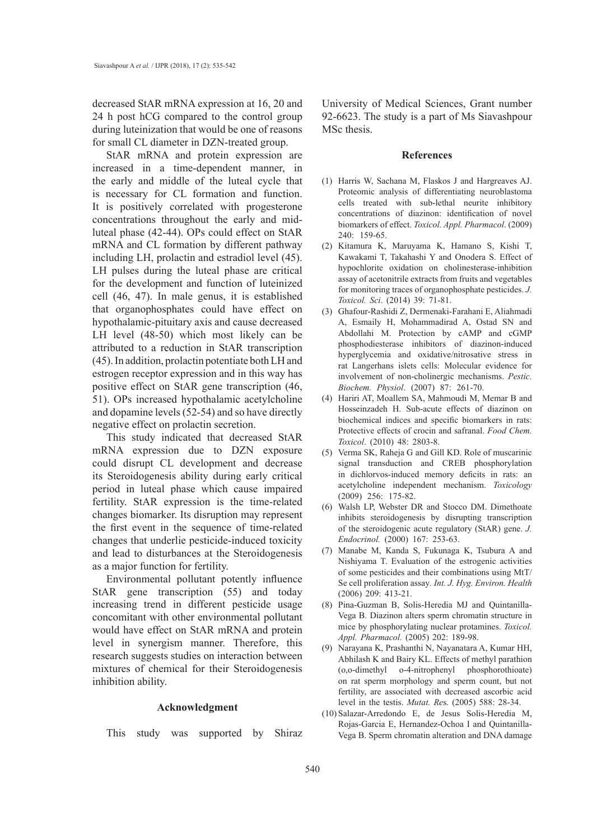decreased StAR mRNA expression at 16, 20 and 24 h post hCG compared to the control group during luteinization that would be one of reasons for small CL diameter in DZN-treated group.

StAR mRNA and protein expression are increased in a time-dependent manner, in the early and middle of the luteal cycle that is necessary for CL formation and function. It is positively correlated with progesterone concentrations throughout the early and midluteal phase (42-44). OPs could effect on StAR mRNA and CL formation by different pathway including LH, prolactin and estradiol level (45). LH pulses during the luteal phase are critical for the development and function of luteinized cell (46, 47). In male genus, it is established that organophosphates could have effect on hypothalamic-pituitary axis and cause decreased LH level (48-50) which most likely can be attributed to a reduction in StAR transcription (45). In addition, prolactin potentiate both LH and estrogen receptor expression and in this way has positive effect on StAR gene transcription (46, 51). OPs increased hypothalamic acetylcholine and dopamine levels (52-54) and so have directly negative effect on prolactin secretion.

This study indicated that decreased StAR mRNA expression due to DZN exposure could disrupt CL development and decrease its Steroidogenesis ability during early critical period in luteal phase which cause impaired fertility. StAR expression is the time-related changes biomarker. Its disruption may represent the first event in the sequence of time-related changes that underlie pesticide-induced toxicity and lead to disturbances at the Steroidogenesis as a major function for fertility.

Environmental pollutant potently influence StAR gene transcription (55) and today increasing trend in different pesticide usage concomitant with other environmental pollutant would have effect on StAR mRNA and protein level in synergism manner. Therefore, this research suggests studies on interaction between mixtures of chemical for their Steroidogenesis inhibition ability.

## **Acknowledgment**

This study was supported by Shiraz

University of Medical Sciences, Grant number 92-6623. The study is a part of Ms Siavashpour MSc thesis.

#### **References**

- (1) Harris W, Sachana M, Flaskos J and Hargreaves AJ. Proteomic analysis of differentiating neuroblastoma cells treated with sub-lethal neurite inhibitory concentrations of diazinon: identification of novel biomarkers of effect. *Toxicol. Appl. Pharmacol*. (2009) 240: 159-65.
- (2) Kitamura K, Maruyama K, Hamano S, Kishi T, Kawakami T, Takahashi Y and Onodera S. Effect of hypochlorite oxidation on cholinesterase-inhibition assay of acetonitrile extracts from fruits and vegetables for monitoring traces of organophosphate pesticides. *J. Toxicol. Sci*. (2014) 39: 71-81.
- Ghafour-Rashidi Z, Dermenaki-Farahani E, Aliahmadi (3) A, Esmaily H, Mohammadirad A, Ostad SN and Abdollahi M. Protection by cAMP and cGMP phosphodiesterase inhibitors of diazinon-induced hyperglycemia and oxidative/nitrosative stress in rat Langerhans islets cells: Molecular evidence for involvement of non-cholinergic mechanisms. *Pestic. Biochem. Physiol*. (2007) 87: 261-70.
- (4) Hariri AT, Moallem SA, Mahmoudi M, Memar B and Hosseinzadeh H. Sub-acute effects of diazinon on biochemical indices and specific biomarkers in rats: Protective effects of crocin and safranal. *Food Chem. Toxicol*. (2010) 48: 2803-8.
- (5) Verma SK, Raheja G and Gill KD. Role of muscarinic signal transduction and CREB phosphorylation in dichlorvos-induced memory deficits in rats: an acetylcholine independent mechanism. *Toxicology* (2009) 256: 175-82.
- Walsh LP, Webster DR and Stocco DM. Dimethoate (6) inhibits steroidogenesis by disrupting transcription of the steroidogenic acute regulatory (StAR) gene. *J. Endocrinol.* (2000) 167: 253-63.
- Manabe M, Kanda S, Fukunaga K, Tsubura A and (7) Nishiyama T. Evaluation of the estrogenic activities of some pesticides and their combinations using MtT/ Se cell proliferation assay*. Int. J. Hyg. Environ. Health* (2006) 209: 413-21.
- Pina-Guzman B, Solis-Heredia MJ and Quintanilla-(8) Vega B. Diazinon alters sperm chromatin structure in mice by phosphorylating nuclear protamines. *Toxicol. Appl. Pharmacol.* (2005) 202: 189-98.
- Narayana K, Prashanthi N, Nayanatara A, Kumar HH, (9) Abhilash K and Bairy KL. Effects of methyl parathion (o,o-dimethyl o-4-nitrophenyl phosphorothioate) on rat sperm morphology and sperm count, but not fertility, are associated with decreased ascorbic acid level in the testis. *Mutat. Re*s. (2005) 588: 28-34.
- Salazar-Arredondo E, de Jesus Solis-Heredia M, (10)Rojas-Garcia E, Hernandez-Ochoa I and Quintanilla-Vega B. Sperm chromatin alteration and DNA damage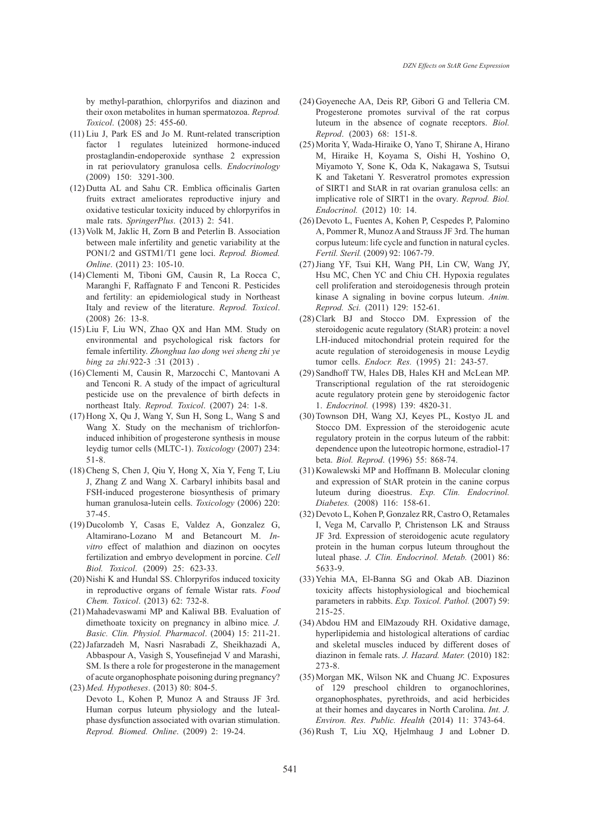by methyl-parathion, chlorpyrifos and diazinon and their oxon metabolites in human spermatozoa. *Reprod. Toxicol*. (2008) 25: 455-60.

- $(11)$  Liu J, Park ES and Jo M. Runt-related transcription factor 1 regulates luteinized hormone-induced prostaglandin-endoperoxide synthase 2 expression in rat periovulatory granulosa cells. *Endocrinology* (2009) 150: 3291-300.
- $(12)$  Dutta AL and Sahu CR. Emblica officinalis Garten fruits extract ameliorates reproductive injury and oxidative testicular toxicity induced by chlorpyrifos in male rats. *SpringerPlus*. (2013) 2: 541.
- $(13)$  Volk M, Jaklic H, Zorn B and Peterlin B. Association between male infertility and genetic variability at the PON1/2 and GSTM1/T1 gene loci. *Reprod. Biomed. Online*. (2011) 23: 105-10.
- Clementi M, Tiboni GM, Causin R, La Rocca C, (14) Maranghi F, Raffagnato F and Tenconi R. Pesticides and fertility: an epidemiological study in Northeast Italy and review of the literature. *Reprod. Toxicol*. (2008) 26: 13-8.
- $(15)$  Liu F, Liu WN, Zhao QX and Han MM. Study on environmental and psychological risk factors for female infertility. *Zhonghua lao dong wei sheng zhi ye bing za zhi.922-3* :31 (2013).
- (16) Clementi M, Causin R, Marzocchi C, Mantovani A and Tenconi R. A study of the impact of agricultural pesticide use on the prevalence of birth defects in northeast Italy. *Reprod. Toxicol*. (2007) 24: 1-8.
- $(17)$  Hong X, Qu J, Wang Y, Sun H, Song L, Wang S and Wang X. Study on the mechanism of trichlorfoninduced inhibition of progesterone synthesis in mouse leydig tumor cells (MLTC-1). *Toxicology* (2007) 234: 51-8.
- (18) Cheng S, Chen J, Qiu Y, Hong X, Xia Y, Feng T, Liu J, Zhang Z and Wang X. Carbaryl inhibits basal and FSH-induced progesterone biosynthesis of primary human granulosa-lutein cells. *Toxicology* (2006) 220: 37-45.
- $(19)$  Ducolomb Y, Casas E, Valdez A, Gonzalez G, Altamirano-Lozano M and Betancourt M. *Invitro* effect of malathion and diazinon on oocytes fertilization and embryo development in porcine. *Cell Biol. Toxicol*. (2009) 25: 623-33.
- (20) Nishi K and Hundal SS. Chlorpyrifos induced toxicity in reproductive organs of female Wistar rats. *Food Chem. Toxicol*. (2013) 62: 732-8.
- Mahadevaswami MP and Kaliwal BB. Evaluation of (21) dimethoate toxicity on pregnancy in albino mice*. J. Basic. Clin. Physiol. Pharmacol*. (2004) 15: 211-21.
- (22) Jafarzadeh M, Nasri Nasrabadi Z, Sheikhazadi A, Abbaspour A, Vasigh S, Yousefinejad V and Marashi, SM. Is there a role for progesterone in the management of acute organophosphate poisoning during pregnancy? *Med. Hypotheses*. (2013) 80: 804-5. (23)
- Devoto L, Kohen P, Munoz A and Strauss JF 3rd. Human corpus luteum physiology and the lutealphase dysfunction associated with ovarian stimulation. *Reprod. Biomed. Online*. (2009) 2: 19-24.
- $(24)$  Goyeneche AA, Deis RP, Gibori G and Telleria CM. Progesterone promotes survival of the rat corpus luteum in the absence of cognate receptors. *Biol. Reprod*. (2003) 68: 151-8.
- (25) Morita Y, Wada-Hiraike O, Yano T, Shirane A, Hirano M, Hiraike H, Koyama S, Oishi H, Yoshino O, Miyamoto Y, Sone K, Oda K, Nakagawa S, Tsutsui K and Taketani Y. Resveratrol promotes expression of SIRT1 and StAR in rat ovarian granulosa cells: an implicative role of SIRT1 in the ovary. *Reprod. Biol. Endocrinol.* (2012) 10: 14.
- (26) Devoto L, Fuentes A, Kohen P, Cespedes P, Palomino A, Pommer R, Munoz A and Strauss JF 3rd. The human corpus luteum: life cycle and function in natural cycles. *Fertil. Steril.* (2009) 92: 1067-79.
- (27) Jiang YF, Tsui KH, Wang PH, Lin CW, Wang JY, Hsu MC, Chen YC and Chiu CH. Hypoxia regulates cell proliferation and steroidogenesis through protein kinase A signaling in bovine corpus luteum. *Anim. Reprod. Sci.* (2011) 129: 152-61.
- $(28)$  Clark BJ and Stocco DM. Expression of the steroidogenic acute regulatory (StAR) protein: a novel LH-induced mitochondrial protein required for the acute regulation of steroidogenesis in mouse Leydig tumor cells. *Endocr. Res.* (1995) 21: 243-57.
- (29) Sandhoff TW, Hales DB, Hales KH and McLean MP. Transcriptional regulation of the rat steroidogenic acute regulatory protein gene by steroidogenic factor 1. *Endocrinol.* (1998) 139: 4820-31.
- (30) Townson DH, Wang XJ, Keyes PL, Kostyo JL and Stocco DM. Expression of the steroidogenic acute regulatory protein in the corpus luteum of the rabbit: dependence upon the luteotropic hormone, estradiol-17 beta. *Biol. Reprod*. (1996) 55: 868-74.
- (31) Kowalewski MP and Hoffmann B. Molecular cloning and expression of StAR protein in the canine corpus luteum during dioestrus. *Exp. Clin. Endocrinol. Diabetes.* (2008) 116: 158-61.
- Devoto L, Kohen P, Gonzalez RR, Castro O, Retamales (32) I, Vega M, Carvallo P, Christenson LK and Strauss JF 3rd. Expression of steroidogenic acute regulatory protein in the human corpus luteum throughout the luteal phase. *J. Clin. Endocrinol. Metab.* (2001) 86: 5633-9.
- (33) Yehia MA, El-Banna SG and Okab AB. Diazinon toxicity affects histophysiological and biochemical parameters in rabbits. *Exp. Toxicol. Pathol.* (2007) 59: 215-25.
- Abdou HM and ElMazoudy RH. Oxidative damage, (34) hyperlipidemia and histological alterations of cardiac and skeletal muscles induced by different doses of diazinon in female rats. *J. Hazard. Mater.* (2010) 182: 273-8.
- (35) Morgan MK, Wilson NK and Chuang JC. Exposures of 129 preschool children to organochlorines, organophosphates, pyrethroids, and acid herbicides at their homes and daycares in North Carolina. *Int. J. Environ. Res. Public. Health* (2014) 11: 3743-64.
- $(36)$  Rush T, Liu XQ, Hjelmhaug J and Lobner D.